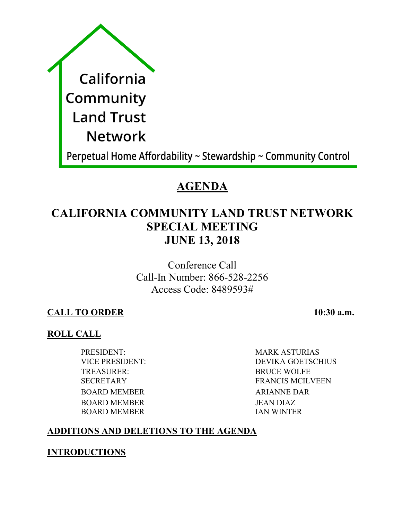| California                                                     |
|----------------------------------------------------------------|
| Community                                                      |
| <b>Land Trust</b>                                              |
| <b>Network</b>                                                 |
| Perpetual Home Affordability ~ Stewardship ~ Community Control |

# **AGENDA**

# **CALIFORNIA COMMUNITY LAND TRUST NETWORK SPECIAL MEETING JUNE 13, 2018**

Conference Call Call-In Number: 866-528-2256 Access Code: 8489593#

# **CALL TO ORDER 10:30 a.m.**

## **ROLL CALL**

PRESIDENT: MARK ASTURIAS TREASURER: BRUCE WOLFE BOARD MEMBER ARIANNE DAR BOARD MEMBER JEAN DIAZ BOARD MEMBER IAN WINTER

VICE PRESIDENT: DEVIKA GOETSCHIUS SECRETARY FRANCIS MCILVEEN

# **ADDITIONS AND DELETIONS TO THE AGENDA**

## **INTRODUCTIONS**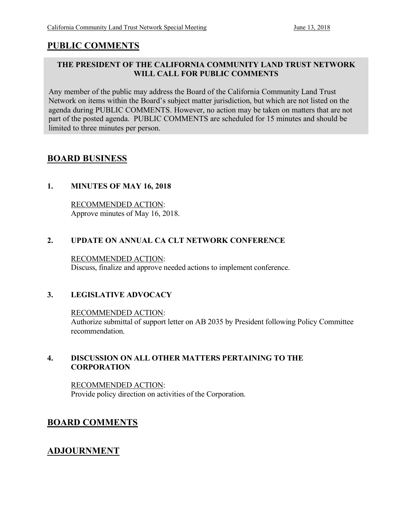## **PUBLIC COMMENTS**

#### **THE PRESIDENT OF THE CALIFORNIA COMMUNITY LAND TRUST NETWORK WILL CALL FOR PUBLIC COMMENTS**

Any member of the public may address the Board of the California Community Land Trust Network on items within the Board's subject matter jurisdiction, but which are not listed on the agenda during PUBLIC COMMENTS. However, no action may be taken on matters that are not part of the posted agenda. PUBLIC COMMENTS are scheduled for 15 minutes and should be limited to three minutes per person.

### **BOARD BUSINESS**

#### **1. MINUTES OF MAY 16, 2018**

RECOMMENDED ACTION: Approve minutes of May 16, 2018.

#### **2. UPDATE ON ANNUAL CA CLT NETWORK CONFERENCE**

#### RECOMMENDED ACTION:

Discuss, finalize and approve needed actions to implement conference.

#### **3. LEGISLATIVE ADVOCACY**

#### RECOMMENDED ACTION:

Authorize submittal of support letter on AB 2035 by President following Policy Committee recommendation.

#### **4. DISCUSSION ON ALL OTHER MATTERS PERTAINING TO THE CORPORATION**

RECOMMENDED ACTION: Provide policy direction on activities of the Corporation.

### **BOARD COMMENTS**

### **ADJOURNMENT**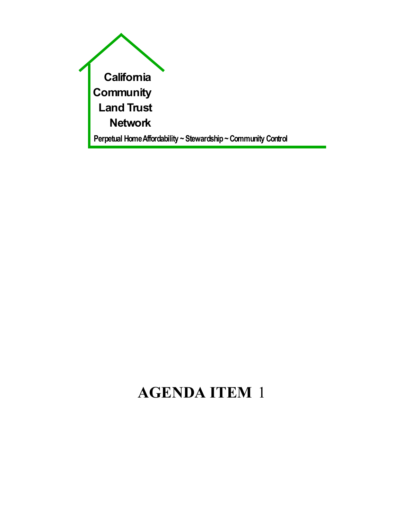

# **AGENDA ITEM** 1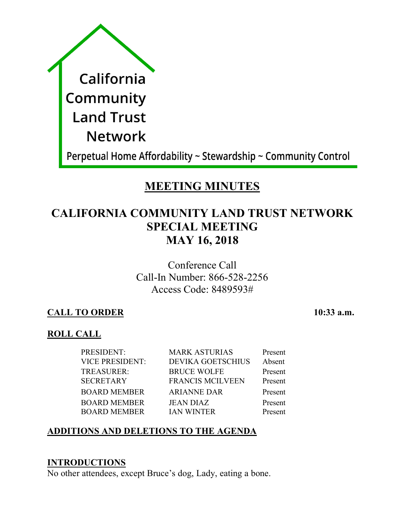| California        |
|-------------------|
| Community         |
| <b>Land Trust</b> |
| <b>Network</b>    |
|                   |

Perpetual Home Affordability ~ Stewardship ~ Community Control

# **MEETING MINUTES**

# **CALIFORNIA COMMUNITY LAND TRUST NETWORK SPECIAL MEETING MAY 16, 2018**

Conference Call Call-In Number: 866-528-2256 Access Code: 8489593#

## **CALL TO ORDER 10:33 a.m.**

## **ROLL CALL**

| <b>VICE PRESIDENT:</b><br><b>DEVIKA GOETSCHIUS</b> | Present |
|----------------------------------------------------|---------|
|                                                    | Absent  |
| TREASURER:<br><b>BRUCE WOLFE</b>                   | Present |
| <b>SECRETARY</b><br><b>FRANCIS MCILVEEN</b>        | Present |
| <b>BOARD MEMBER</b><br><b>ARIANNE DAR</b>          | Present |
| <b>BOARD MEMBER</b><br><b>JEAN DIAZ</b>            | Present |
| <b>BOARD MEMBER</b><br><b>IAN WINTER</b>           | Present |

# **ADDITIONS AND DELETIONS TO THE AGENDA**

### **INTRODUCTIONS**

No other attendees, except Bruce's dog, Lady, eating a bone.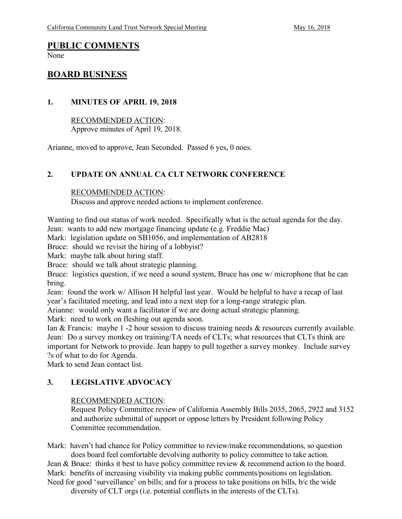# **PUBLIC COMMENTS**

None

#### **BOARD BUSINESS**

#### **1. MINUTES OF APRIL 19, 2018**

RECOMMENDED ACTION: Approve minutes of April 19, 2018.

Arianne, moved to approve, Jean Seconded. Passed 6 yes, 0 noes.

#### **2. UPDATE ON ANNUAL CA CLT NETWORK CONFERENCE**

#### RECOMMENDED ACTION:

Discuss and approve needed actions to implement conference.

Wanting to find out status of work needed. Specifically what is the actual agenda for the day. Jean: wants to add new mortgage financing update (e.g. Freddie Mac)

Mark: legislation update on SB1056, and implementation of AB2818

Bruce: should we revisit the hiring of a lobbyist?

Mark: maybe talk about hiring staff.

Bruce: should we talk about strategic planning.

Bruce: logistics question, if we need a sound system, Bruce has one w/ microphone that he can bring.

Jean: found the work w/ Allison H helpful last year. Would be helpful to have a recap of last year's facilitated meeting, and lead into a next step for a long-range strategic plan.

Arianne: would only want a facilitator if we are doing actual strategic planning.

Mark: need to work on fleshing out agenda soon.

Ian & Francis: maybe 1 -2 hour session to discuss training needs & resources currently available. Jean: Do a survey monkey on training/TA needs of CLTs; what resources that CLTs think are important for Network to provide. Jean happy to pull together a survey monkey. Include survey ?s of what to do for Agenda.

Mark to send Jean contact list.

#### **3. LEGISLATIVE ADVOCACY**

#### RECOMMENDED ACTION:

Request Policy Committee review of California Assembly Bills 2035, 2065, 2922 and 3152 and authorize submittal of support or oppose letters by President following Policy Committee recommendation.

Mark: haven't had chance for Policy committee to review/make recommendations, so question does board feel comfortable devolving authority to policy committee to take action.

Jean & Bruce: thinks it best to have policy committee review & recommend action to the board. Mark: benefits of increasing visibility via making public comments/positions on legislation. Need for good 'surveillance' on bills; and for a process to take positions on bills, b/c the wide

diversity of CLT orgs (i.e. potential conflicts in the interests of the CLTs).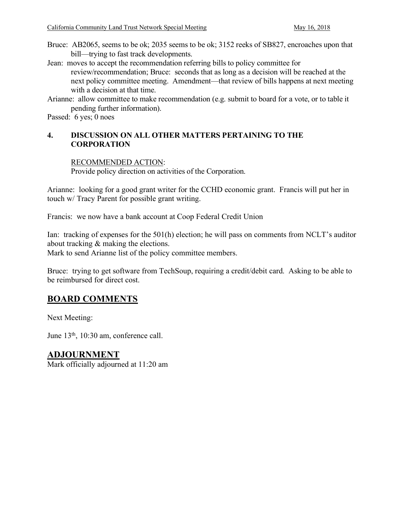- Bruce: AB2065, seems to be ok; 2035 seems to be ok; 3152 reeks of SB827, encroaches upon that bill—trying to fast track developments.
- Jean: moves to accept the recommendation referring bills to policy committee for review/recommendation; Bruce: seconds that as long as a decision will be reached at the next policy committee meeting. Amendment—that review of bills happens at next meeting with a decision at that time.
- Arianne: allow committee to make recommendation (e.g. submit to board for a vote, or to table it pending further information).

Passed: 6 yes; 0 noes

#### **4. DISCUSSION ON ALL OTHER MATTERS PERTAINING TO THE CORPORATION**

#### RECOMMENDED ACTION:

Provide policy direction on activities of the Corporation.

Arianne: looking for a good grant writer for the CCHD economic grant. Francis will put her in touch w/ Tracy Parent for possible grant writing.

Francis: we now have a bank account at Coop Federal Credit Union

Ian: tracking of expenses for the 501(h) election; he will pass on comments from NCLT's auditor about tracking & making the elections.

Mark to send Arianne list of the policy committee members.

Bruce: trying to get software from TechSoup, requiring a credit/debit card. Asking to be able to be reimbursed for direct cost.

## **BOARD COMMENTS**

Next Meeting:

June 13th, 10:30 am, conference call.

#### **ADJOURNMENT**

Mark officially adjourned at 11:20 am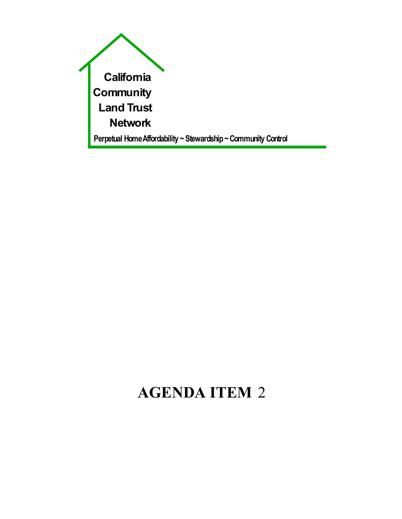

# **AGENDA ITEM** 2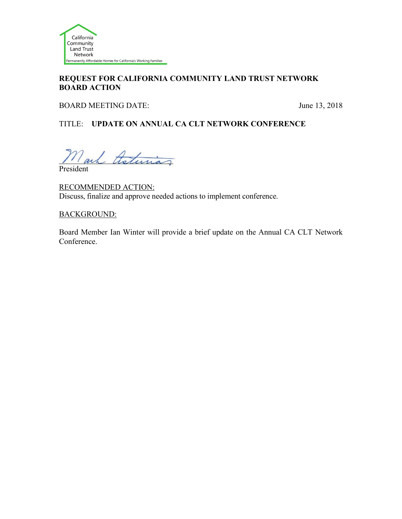

#### **REQUEST FOR CALIFORNIA COMMUNITY LAND TRUST NETWORK BOARD ACTION**

BOARD MEETING DATE: June 13, 2018

#### TITLE: **UPDATE ON ANNUAL CA CLT NETWORK CONFERENCE**

Mark theturias

President

RECOMMENDED ACTION: Discuss, finalize and approve needed actions to implement conference.

#### BACKGROUND:

Board Member Ian Winter will provide a brief update on the Annual CA CLT Network Conference.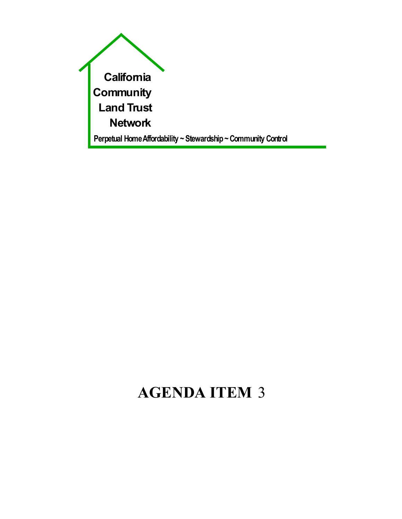

# **AGENDA ITEM** 3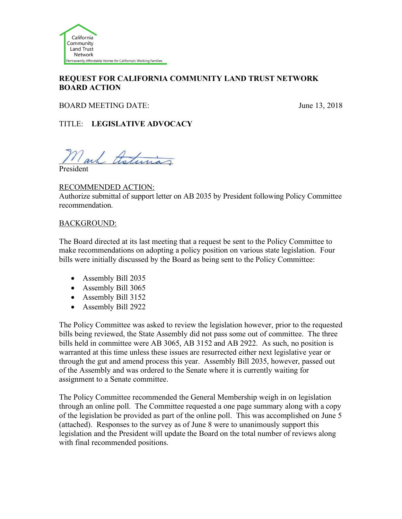

#### **REQUEST FOR CALIFORNIA COMMUNITY LAND TRUST NETWORK BOARD ACTION**

BOARD MEETING DATE: June 13, 2018

TITLE: **LEGISLATIVE ADVOCACY**

 ${\cal N}$ ach theturias

President

#### RECOMMENDED ACTION:

Authorize submittal of support letter on AB 2035 by President following Policy Committee recommendation.

#### BACKGROUND:

The Board directed at its last meeting that a request be sent to the Policy Committee to make recommendations on adopting a policy position on various state legislation. Four bills were initially discussed by the Board as being sent to the Policy Committee:

- Assembly Bill 2035
- Assembly Bill 3065
- Assembly Bill 3152
- Assembly Bill 2922

The Policy Committee was asked to review the legislation however, prior to the requested bills being reviewed, the State Assembly did not pass some out of committee. The three bills held in committee were AB 3065, AB 3152 and AB 2922. As such, no position is warranted at this time unless these issues are resurrected either next legislative year or through the gut and amend process this year. Assembly Bill 2035, however, passed out of the Assembly and was ordered to the Senate where it is currently waiting for assignment to a Senate committee.

The Policy Committee recommended the General Membership weigh in on legislation through an online poll. The Committee requested a one page summary along with a copy of the legislation be provided as part of the online poll. This was accomplished on June 5 (attached). Responses to the survey as of June 8 were to unanimously support this legislation and the President will update the Board on the total number of reviews along with final recommended positions.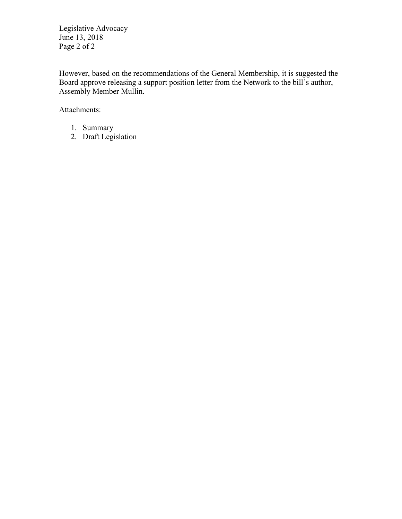Legislative Advocacy June 13, 2018 Page 2 of 2

However, based on the recommendations of the General Membership, it is suggested the Board approve releasing a support position letter from the Network to the bill's author, Assembly Member Mullin.

Attachments:

- 1. Summary
- 2. Draft Legislation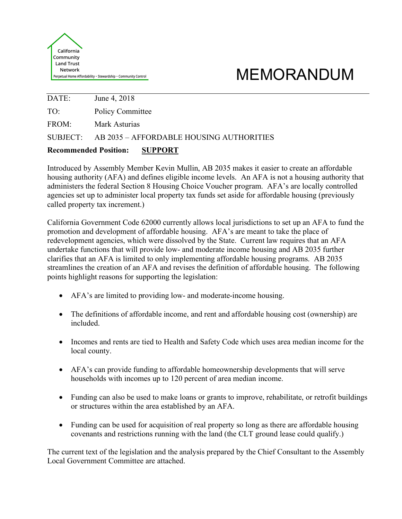

# MEMORANDUM

DATE: June 4, 2018 TO: Policy Committee FROM: Mark Asturias SUBJECT: AB 2035 – AFFORDABLE HOUSING AUTHORITIES

#### **Recommended Position: SUPPORT**

Introduced by Assembly Member Kevin Mullin, AB 2035 makes it easier to create an affordable housing authority (AFA) and defines eligible income levels. An AFA is not a housing authority that administers the federal Section 8 Housing Choice Voucher program. AFA's are locally controlled agencies set up to administer local property tax funds set aside for affordable housing (previously called property tax increment.)

California Government Code 62000 currently allows local jurisdictions to set up an AFA to fund the promotion and development of affordable housing. AFA's are meant to take the place of redevelopment agencies, which were dissolved by the State. Current law requires that an AFA undertake functions that will provide low- and moderate income housing and AB 2035 further clarifies that an AFA is limited to only implementing affordable housing programs. AB 2035 streamlines the creation of an AFA and revises the definition of affordable housing. The following points highlight reasons for supporting the legislation:

- AFA's are limited to providing low- and moderate-income housing.
- The definitions of affordable income, and rent and affordable housing cost (ownership) are included.
- Incomes and rents are tied to Health and Safety Code which uses area median income for the local county.
- AFA's can provide funding to affordable homeownership developments that will serve households with incomes up to 120 percent of area median income.
- Funding can also be used to make loans or grants to improve, rehabilitate, or retrofit buildings or structures within the area established by an AFA.
- Funding can be used for acquisition of real property so long as there are affordable housing covenants and restrictions running with the land (the CLT ground lease could qualify.)

The current text of the legislation and the analysis prepared by the Chief Consultant to the Assembly Local Government Committee are attached.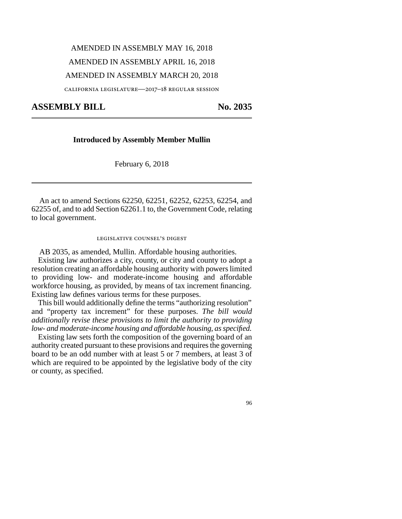# AMENDED IN ASSEMBLY MAY 16, 2018 AMENDED IN ASSEMBLY APRIL 16, 2018 AMENDED IN ASSEMBLY MARCH 20, 2018

california legislature—2017–18 regular session

#### ASSEMBLY BILL No. 2035

#### **Introduced by Assembly Member Mullin**

February 6, 2018

An act to amend Sections 62250, 62251, 62252, 62253, 62254, and 62255 of, and to add Section 62261.1 to, the Government Code, relating to local government.

#### legislative counsel's digest

AB 2035, as amended, Mullin. Affordable housing authorities.

Existing law authorizes a city, county, or city and county to adopt a resolution creating an affordable housing authority with powers limited to providing low- and moderate-income housing and affordable workforce housing, as provided, by means of tax increment financing. Existing law defines various terms for these purposes.

This bill would additionally define the terms "authorizing resolution" and "property tax increment" for these purposes. *The bill would additionally revise these provisions to limit the authority to providing low- and moderate-income housing and affordable housing, as specified.*

Existing law sets forth the composition of the governing board of an authority created pursuant to these provisions and requires the governing board to be an odd number with at least 5 or 7 members, at least 3 of which are required to be appointed by the legislative body of the city or county, as specified.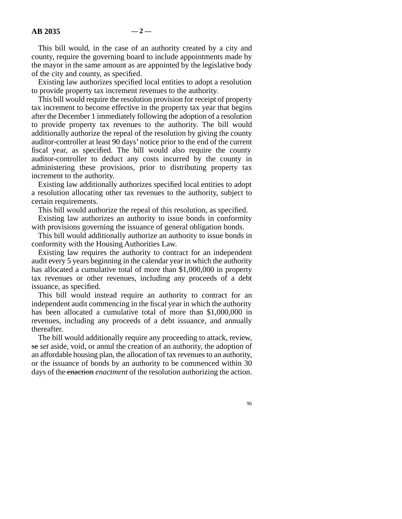This bill would, in the case of an authority created by a city and county, require the governing board to include appointments made by the mayor in the same amount as are appointed by the legislative body of the city and county, as specified.

Existing law authorizes specified local entities to adopt a resolution to provide property tax increment revenues to the authority.

This bill would require the resolution provision for receipt of property tax increment to become effective in the property tax year that begins after the December 1 immediately following the adoption of a resolution to provide property tax revenues to the authority. The bill would additionally authorize the repeal of the resolution by giving the county auditor-controller at least 90 days' notice prior to the end of the current fiscal year, as specified. The bill would also require the county auditor-controller to deduct any costs incurred by the county in administering these provisions, prior to distributing property tax increment to the authority.

Existing law additionally authorizes specified local entities to adopt a resolution allocating other tax revenues to the authority, subject to certain requirements.

This bill would authorize the repeal of this resolution, as specified.

Existing law authorizes an authority to issue bonds in conformity with provisions governing the issuance of general obligation bonds.

This bill would additionally authorize an authority to issue bonds in conformity with the Housing Authorities Law.

Existing law requires the authority to contract for an independent audit every 5 years beginning in the calendar year in which the authority has allocated a cumulative total of more than \$1,000,000 in property tax revenues or other revenues, including any proceeds of a debt issuance, as specified.

This bill would instead require an authority to contract for an independent audit commencing in the fiscal year in which the authority has been allocated a cumulative total of more than \$1,000,000 in revenues, including any proceeds of a debt issuance, and annually thereafter.

The bill would additionally require any proceeding to attack, review, se *set* aside, void, or annul the creation of an authority, the adoption of an affordable housing plan, the allocation of tax revenues to an authority, or the issuance of bonds by an authority to be commenced within 30 days of the enaction *enactment* of the resolution authorizing the action.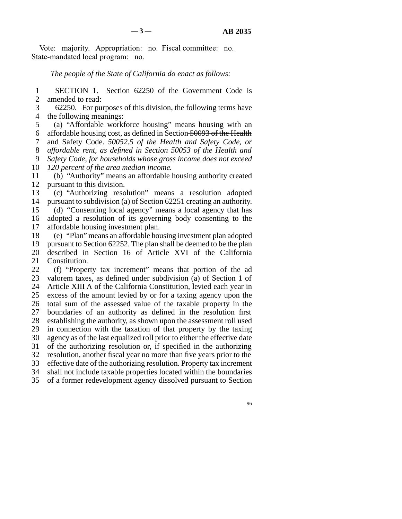Vote: majority. Appropriation: no. Fiscal committee: no. State-mandated local program: no.

#### *The people of the State of California do enact as follows:*

1 SECTION 1. Section 62250 of the Government Code is 2 amended to read:

3 62250. For purposes of this division, the following terms have 4 the following meanings:

5 (a) "Affordable<del> workforce</del> housing" means housing with an 6 affordable housing cost, as defined in Section 50093 of the Health 7 and Safety Code. or and Safety Code. 50052.5 of the Health and Safety Code, or line 8 *affordable rent, as defined in Section 50053 of the Health and* line 9 *Safety Code, for households whose gross income does not exceed* 10 *120 percent of the area median income.* 

 line 11 (b) "Authority" means an affordable housing authority created 12 pursuant to this division.

13 (c) "Authorizing resolution" means a resolution adopted 14 pursuant to subdivision (a) of Section 62251 creating an authority.

15 (d) "Consenting local agency" means a local agency that has 16 adopted a resolution of its governing body consenting to the 17 affordable housing investment plan.

 line 18 (e) "Plan" means an affordable housing investment plan adopted 19 pursuant to Section 62252. The plan shall be deemed to be the plan<br>20 described in Section 16 of Article XVI of the California described in Section 16 of Article XVI of the California 21 Constitution.

22 (f) "Property tax increment" means that portion of the ad<br>23 valorem taxes, as defined under subdivision (a) of Section 1 of valorem taxes, as defined under subdivision (a) of Section 1 of 24 Article XIII A of the California Constitution, levied each year in 25 excess of the amount levied by or for a taxing agency upon the 26 total sum of the assessed value of the taxable property in the 27 boundaries of an authority as defined in the resolution first 28 establishing the authority, as shown upon the assessment roll used 29 in connection with the taxation of that property by the taxing 30 agency as of the last equalized roll prior to either the effective date 31 of the authorizing resolution or, if specified in the authorizing 32 resolution, another fiscal year no more than five years prior to the 33 effective date of the authorizing resolution. Property tax increment 34 shall not include taxable properties located within the boundaries 35 of a former redevelopment agency dissolved pursuant to Section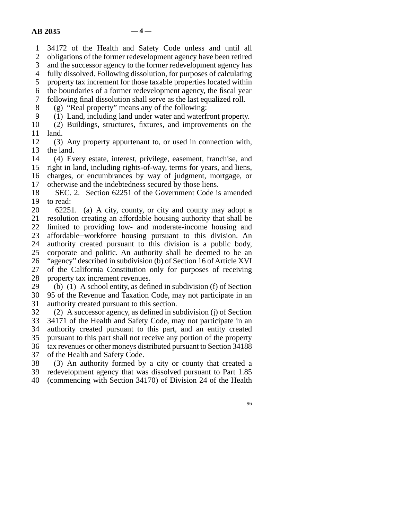line 1 34172 of the Health and Safety Code unless and until all

2 obligations of the former redevelopment agency have been retired<br>3 and the successor agency to the former redevelopment agency has and the successor agency to the former redevelopment agency has

4 fully dissolved. Following dissolution, for purposes of calculating

5 property tax increment for those taxable properties located within

line 6 the boundaries of a former redevelopment agency, the fiscal year

7 following final dissolution shall serve as the last equalized roll.

 $\delta$  (g) "Real property" means any of the following:

9 (1) Land, including land under water and waterfront property.

10 (2) Buildings, structures, fixtures, and improvements on the  $11$  land.

12 (3) Any property appurtenant to, or used in connection with, 13 the land.

14 (4) Every estate, interest, privilege, easement, franchise, and 15 right in land, including rights-of-way, terms for years, and liens, 16 charges, or encumbrances by way of judgment, mortgage, or

17 otherwise and the indebtedness secured by those liens.

18 SEC. 2. Section 62251 of the Government Code is amended 19 to read:

20 62251. (a) A city, county, or city and county may adopt a 21 resolution creating an affordable housing authority that shall be 22 limited to providing low- and moderate-income housing and 23 affordable workforce housing pursuant to this division. An 24 authority created pursuant to this division is a public body, 25 corporate and politic. An authority shall be deemed to be an corporate and politic. An authority shall be deemed to be an 26 "agency" described in subdivision (b) of Section 16 of Article XVI 27 of the California Constitution only for purposes of receiving 28 property tax increment revenues.

29 (b) (1) A school entity, as defined in subdivision (f) of Section 30 95 of the Revenue and Taxation Code, may not participate in an 31 authority created pursuant to this section.

32  $(2)$  A successor agency, as defined in subdivision (j) of Section 33 34171 of the Health and Safety Code, may not participate in an 34 authority created pursuant to this part, and an entity created 35 pursuant to this part shall not receive any portion of the property 36 tax revenues or other moneys distributed pursuant to Section 34188 37 of the Health and Safety Code.

38 (3) An authority formed by a city or county that created a 39 redevelopment agency that was dissolved pursuant to Part 1.85 40 (commencing with Section 34170) of Division 24 of the Health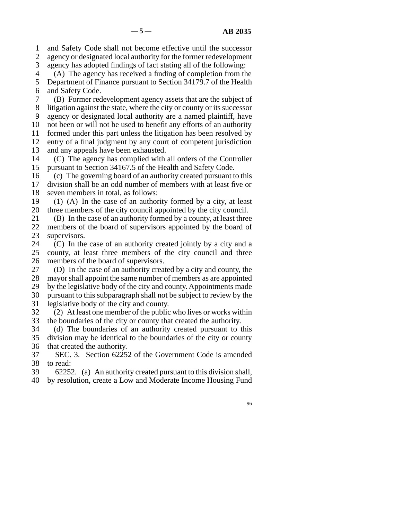line 1 and Safety Code shall not become effective until the successor 2 agency or designated local authority for the former redevelopment

3 agency has adopted findings of fact stating all of the following:

 line 4 (A) The agency has received a finding of completion from the 5 Department of Finance pursuant to Section 34179.7 of the Health 6 and Safety Code.

 line 7 (B) Former redevelopment agency assets that are the subject of 8 litigation against the state, where the city or county or its successor 9 agency or designated local authority are a named plaintiff, have 10 not been or will not be used to benefit any efforts of an authority 11 formed under this part unless the litigation has been resolved by 12 entry of a final judgment by any court of competent jurisdiction 13 and any appeals have been exhausted.

14 (C) The agency has complied with all orders of the Controller 15 pursuant to Section 34167.5 of the Health and Safety Code.

16 (c) The governing board of an authority created pursuant to this 17 division shall be an odd number of members with at least five or 18 seven members in total, as follows:

19  $(1)$  (A) In the case of an authority formed by a city, at least 20 three members of the city council appointed by the city council.

21 (B) In the case of an authority formed by a county, at least three 22 members of the board of supervisors appointed by the board of 23 supervisors.

24 (C) In the case of an authority created jointly by a city and a 25 county, at least three members of the city council and three county, at least three members of the city council and three 26 members of the board of supervisors.

27 (D) In the case of an authority created by a city and county, the 28 mayor shall appoint the same number of members as are appointed 29 by the legislative body of the city and county. Appointments made 30 pursuant to this subparagraph shall not be subject to review by the 31 legislative body of the city and county.

 $32$  (2) At least one member of the public who lives or works within 33 the boundaries of the city or county that created the authority.

34 (d) The boundaries of an authority created pursuant to this 35 division may be identical to the boundaries of the city or county 36 that created the authority.

37 SEC. 3. Section 62252 of the Government Code is amended 38 to read:

39 62252. (a) An authority created pursuant to this division shall,

40 by resolution, create a Low and Moderate Income Housing Fund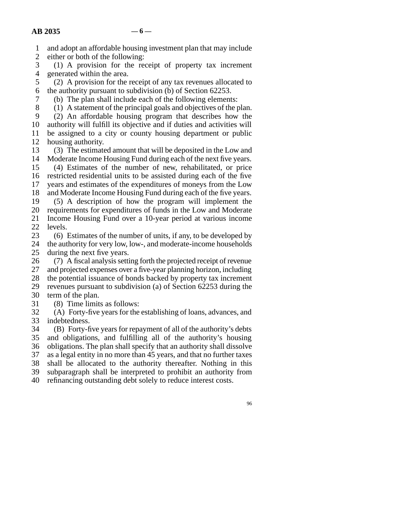|  |   |  |  |  | and adopt an affordable housing investment plan that may include |  |  |  |
|--|---|--|--|--|------------------------------------------------------------------|--|--|--|
|  | . |  |  |  |                                                                  |  |  |  |

2 either or both of the following:<br>3 (1) A provision for the re-

 $\lambda$  (1) A provision for the receipt of property tax increment 4 generated within the area.

5 (2) A provision for the receipt of any tax revenues allocated to 6 the authority pursuant to subdivision (b) of Section  $62253$ .

7 (b) The plan shall include each of the following elements:

8 (1) A statement of the principal goals and objectives of the plan.

9 (2) An affordable housing program that describes how the 10 authority will fulfill its objective and if duties and activities will 11 be assigned to a city or county housing department or public 12 housing authority.

13 (3) The estimated amount that will be deposited in the Low and 14 Moderate Income Housing Fund during each of the next five years.

15 (4) Estimates of the number of new, rehabilitated, or price 16 restricted residential units to be assisted during each of the five 17 years and estimates of the expenditures of moneys from the Low 18 and Moderate Income Housing Fund during each of the five years. 19 (5) A description of how the program will implement the

20 requirements for expenditures of funds in the Low and Moderate 21 Income Housing Fund over a 10-year period at various income

22 levels.<br>23  $(6)$ ]

 $\delta$  Estimates of the number of units, if any, to be developed by 24 the authority for very low, low-, and moderate-income households<br>25 during the next five years.

during the next five years.

26 (7) A fiscal analysis setting forth the projected receipt of revenue<br>27 and projected expenses over a five-year planning horizon, including and projected expenses over a five-year planning horizon, including

28 the potential issuance of bonds backed by property tax increment

29 revenues pursuant to subdivision (a) of Section  $62253$  during the

- 30 term of the plan.
- 31 (8) Time limits as follows:

32 (A) Forty-five years for the establishing of loans, advances, and 33 indebtedness.

34 (B) Forty-five years for repayment of all of the authority's debts 35 and obligations, and fulfilling all of the authority's housing 36 obligations. The plan shall specify that an authority shall dissolve 37 as a legal entity in no more than 45 years, and that no further taxes 38 shall be allocated to the authority thereafter. Nothing in this 39 subparagraph shall be interpreted to prohibit an authority from 40 refinancing outstanding debt solely to reduce interest costs.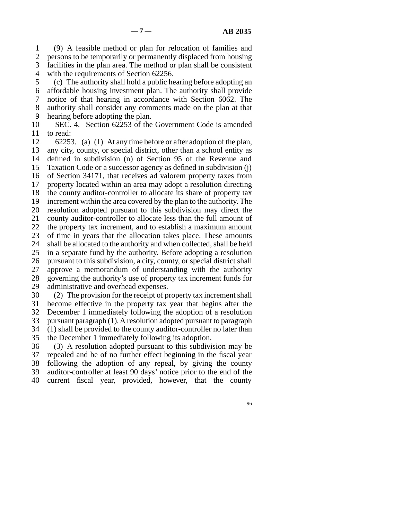line 1 (9) A feasible method or plan for relocation of families and 2 persons to be temporarily or permanently displaced from housing 3 facilities in the plan area. The method or plan shall be consistent 4 with the requirements of Section 62256.

 line 5 (c) The authority shall hold a public hearing before adopting an 6 affordable housing investment plan. The authority shall provide 7 notice of that hearing in accordance with Section 6062. The 8 authority shall consider any comments made on the plan at that 9 hearing before adopting the plan.

10 SEC. 4. Section 62253 of the Government Code is amended 11 to read:

12 62253. (a) (1) At any time before or after adoption of the plan, 13 any city, county, or special district, other than a school entity as 14 defined in subdivision (n) of Section 95 of the Revenue and 15 Taxation Code or a successor agency as defined in subdivision  $(i)$ 16 of Section 34171, that receives ad valorem property taxes from 17 property located within an area may adopt a resolution directing 18 the county auditor-controller to allocate its share of property tax 19 increment within the area covered by the plan to the authority. The 20 resolution adopted pursuant to this subdivision may direct the 21 county auditor-controller to allocate less than the full amount of 22 the property tax increment, and to establish a maximum amount 23 of time in years that the allocation takes place. These amounts 24 shall be allocated to the authority and when collected, shall be held<br>25 in a separate fund by the authority. Before adopting a resolution in a separate fund by the authority. Before adopting a resolution 26 pursuant to this subdivision, a city, county, or special district shall 27 approve a memorandum of understanding with the authority 28 governing the authority's use of property tax increment funds for 29 administrative and overhead expenses. 30 (2) The provision for the receipt of property tax increment shall

31 become effective in the property tax year that begins after the 32 December 1 immediately following the adoption of a resolution 33 pursuant paragraph (1). A resolution adopted pursuant to paragraph 34 (1) shall be provided to the county auditor-controller no later than

35 the December 1 immediately following its adoption.

36 (3) A resolution adopted pursuant to this subdivision may be 37 repealed and be of no further effect beginning in the fiscal year 38 following the adoption of any repeal, by giving the county 39 auditor-controller at least 90 days' notice prior to the end of the 40 current fiscal year, provided, however, that the county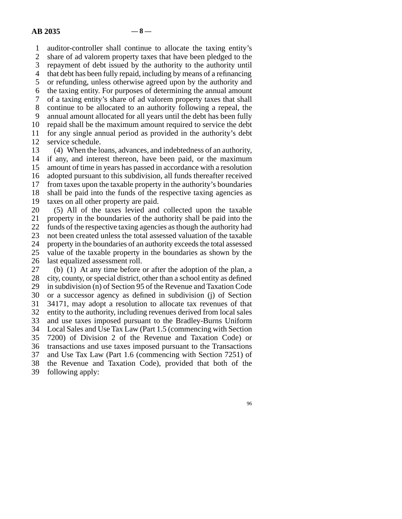line 1 auditor-controller shall continue to allocate the taxing entity's 2 share of ad valorem property taxes that have been pledged to the repayment of debt issued by the authority to the authority until repayment of debt issued by the authority to the authority until 4 that debt has been fully repaid, including by means of a refinancing 5 or refunding, unless otherwise agreed upon by the authority and line 6 the taxing entity. For purposes of determining the annual amount line 7 of a taxing entity's share of ad valorem property taxes that shall 8 continue to be allocated to an authority following a repeal, the 9 annual amount allocated for all years until the debt has been fully 10 repaid shall be the maximum amount required to service the debt 11 for any single annual period as provided in the authority's debt 12 service schedule. 13 (4) When the loans, advances, and indebtedness of an authority,

14 if any, and interest thereon, have been paid, or the maximum 15 amount of time in years has passed in accordance with a resolution 16 adopted pursuant to this subdivision, all funds thereafter received 17 from taxes upon the taxable property in the authority's boundaries 18 shall be paid into the funds of the respective taxing agencies as 19 taxes on all other property are paid. 20 (5) All of the taxes levied and collected upon the taxable

21 property in the boundaries of the authority shall be paid into the 22 funds of the respective taxing agencies as though the authority had<br>23 not been created unless the total assessed valuation of the taxable not been created unless the total assessed valuation of the taxable 24 property in the boundaries of an authority exceeds the total assessed<br>25 value of the taxable property in the boundaries as shown by the value of the taxable property in the boundaries as shown by the 26 last equalized assessment roll.

27 (b) (1) At any time before or after the adoption of the plan, a 28 city, county, or special district, other than a school entity as defined 29 in subdivision (n) of Section 95 of the Revenue and Taxation Code 30 or a successor agency as defined in subdivision (j) of Section 31 34171, may adopt a resolution to allocate tax revenues of that 32 entity to the authority, including revenues derived from local sales 33 and use taxes imposed pursuant to the Bradley-Burns Uniform 34 Local Sales and Use Tax Law (Part 1.5 (commencing with Section line 35 7200) of Division 2 of the Revenue and Taxation Code) or 36 transactions and use taxes imposed pursuant to the Transactions 37 and Use Tax Law (Part 1.6 (commencing with Section 7251) of 38 the Revenue and Taxation Code), provided that both of the 39 following apply: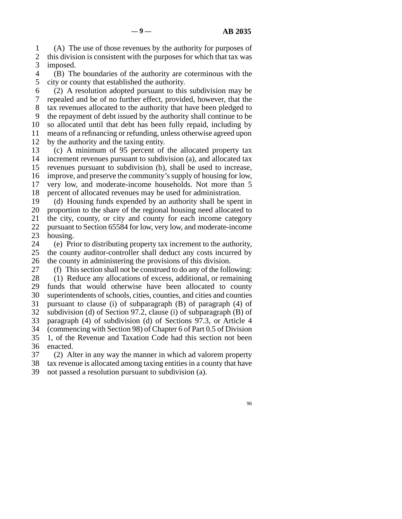line 1 (A) The use of those revenues by the authority for purposes of 2 this division is consistent with the purposes for which that tax was imposed. imposed.

4 (B) The boundaries of the authority are coterminous with the 5 city or county that established the authority.

 $\delta$  (2) A resolution adopted pursuant to this subdivision may be 7 repealed and be of no further effect, provided, however, that the 8 tax revenues allocated to the authority that have been pledged to 9 the repayment of debt issued by the authority shall continue to be 10 so allocated until that debt has been fully repaid, including by 11 means of a refinancing or refunding, unless otherwise agreed upon 12 by the authority and the taxing entity.

13 (c) A minimum of 95 percent of the allocated property tax 14 increment revenues pursuant to subdivision (a), and allocated tax 15 revenues pursuant to subdivision (b), shall be used to increase, 16 improve, and preserve the community's supply of housing for low, 17 very low, and moderate-income households. Not more than 5 18 percent of allocated revenues may be used for administration.

19 (d) Housing funds expended by an authority shall be spent in

20 proportion to the share of the regional housing need allocated to 21 the city, county, or city and county for each income category

22 pursuant to Section 65584 for low, very low, and moderate-income

23 housing.

24 (e) Prior to distributing property tax increment to the authority,<br>25 the county auditor-controller shall deduct any costs incurred by the county auditor-controller shall deduct any costs incurred by 26 the county in administering the provisions of this division.

27 (f) This section shall not be construed to do any of the following:

28 (1) Reduce any allocations of excess, additional, or remaining 29 funds that would otherwise have been allocated to county 30 superintendents of schools, cities, counties, and cities and counties 31 pursuant to clause (i) of subparagraph  $(B)$  of paragraph  $(4)$  of 32 subdivision (d) of Section 97.2, clause (i) of subparagraph (B) of 33 paragraph (4) of subdivision (d) of Sections 97.3, or Article 4 34 (commencing with Section 98) of Chapter 6 of Part 0.5 of Division

35 1, of the Revenue and Taxation Code had this section not been 36 enacted.

37 (2) Alter in any way the manner in which ad valorem property

38 tax revenue is allocated among taxing entities in a county that have

39 not passed a resolution pursuant to subdivision (a).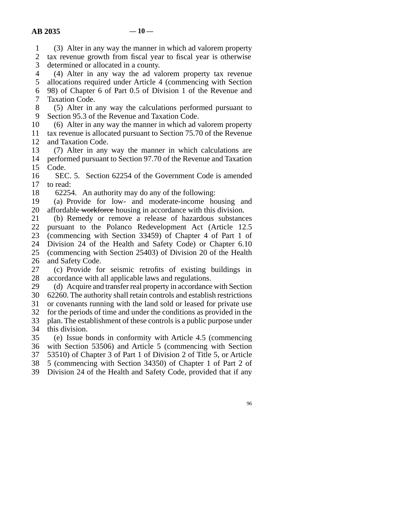1 (3) Alter in any way the manner in which ad valorem property 2 tax revenue growth from fiscal year to fiscal year is otherwise<br>3 determined or allocated in a county. determined or allocated in a county.

4 (4) Alter in any way the ad valorem property tax revenue 5 allocations required under Article 4 (commencing with Section 6 98) of Chapter 6 of Part 0.5 of Division 1 of the Revenue and 7 Taxation Code.

8 (5) Alter in any way the calculations performed pursuant to 9 Section 95.3 of the Revenue and Taxation Code.

10 (6) Alter in any way the manner in which ad valorem property

11 tax revenue is allocated pursuant to Section 75.70 of the Revenue 12 and Taxation Code.

13 (7) Alter in any way the manner in which calculations are 14 performed pursuant to Section 97.70 of the Revenue and Taxation 15 Code.

16 SEC. 5. Section 62254 of the Government Code is amended 17 to read:

18 62254. An authority may do any of the following:

19 (a) Provide for low- and moderate-income housing and 20 affordable workforce housing in accordance with this division.

21 (b) Remedy or remove a release of hazardous substances 22 pursuant to the Polanco Redevelopment Act (Article 12.5) 23 (commencing with Section 33459) of Chapter 4 of Part 1 of 24 Division 24 of the Health and Safety Code) or Chapter 6.10<br>25 (commencing with Section 25403) of Division 20 of the Health (commencing with Section 25403) of Division 20 of the Health

26 and Safety Code.

27 (c) Provide for seismic retrofits of existing buildings in 28 accordance with all applicable laws and regulations.

29 (d) Acquire and transfer real property in accordance with Section

30 62260. The authority shall retain controls and establish restrictions

31 or covenants running with the land sold or leased for private use

32 for the periods of time and under the conditions as provided in the

33 plan. The establishment of these controls is a public purpose under 34 this division.

 line 35 (e) Issue bonds in conformity with Article 4.5 (commencing 36 with Section 53506) and Article 5 (commencing with Section

37 53510) of Chapter 3 of Part 1 of Division 2 of Title 5, or Article

38 5 (commencing with Section 34350) of Chapter 1 of Part 2 of

39 Division 24 of the Health and Safety Code, provided that if any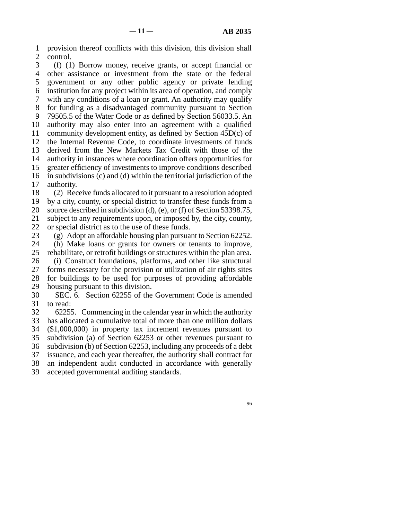line 1 provision thereof conflicts with this division, this division shall 2 control.<br>3 (f)  $(1)$ 

 $\ell$  (f) (1) Borrow money, receive grants, or accept financial or 4 other assistance or investment from the state or the federal 5 government or any other public agency or private lending line 6 institution for any project within its area of operation, and comply 7 with any conditions of a loan or grant. An authority may qualify 8 for funding as a disadvantaged community pursuant to Section 9 79505.5 of the Water Code or as defined by Section 56033.5. An 10 authority may also enter into an agreement with a qualified 11 community development entity, as defined by Section  $45D(c)$  of 12 the Internal Revenue Code, to coordinate investments of funds 13 derived from the New Markets Tax Credit with those of the 14 authority in instances where coordination offers opportunities for 15 greater efficiency of investments to improve conditions described  $16$  in subdivisions (c) and (d) within the territorial jurisdiction of the 17 authority.

18 (2) Receive funds allocated to it pursuant to a resolution adopted 19 by a city, county, or special district to transfer these funds from a 20 source described in subdivision (d), (e), or (f) of Section 53398.75, 21 subject to any requirements upon, or imposed by, the city, county, 22 or special district as to the use of these funds.<br>23 (g) Adopt an affordable housing plan pursual

(g) Adopt an affordable housing plan pursuant to Section  $62252$ .

24 (h) Make loans or grants for owners or tenants to improve,<br>25 rehabilitate or retrofit buildings or structures within the plan area. rehabilitate, or retrofit buildings or structures within the plan area.

26 (i) Construct foundations, platforms, and other like structural 27 forms necessary for the provision or utilization of air rights sites forms necessary for the provision or utilization of air rights sites 28 for buildings to be used for purposes of providing affordable 29 housing pursuant to this division.

30 SEC. 6. Section 62255 of the Government Code is amended 31 to read:

32 62255. Commencing in the calendar year in which the authority 33 has allocated a cumulative total of more than one million dollars 34 (\$1,000,000) in property tax increment revenues pursuant to 35 subdivision (a) of Section 62253 or other revenues pursuant to 36 subdivision (b) of Section 62253, including any proceeds of a debt 37 issuance, and each year thereafter, the authority shall contract for 38 an independent audit conducted in accordance with generally 39 accepted governmental auditing standards.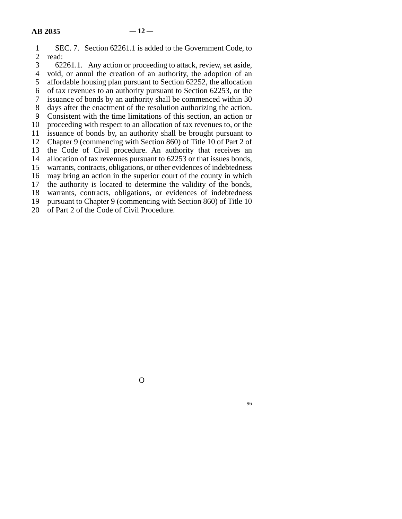| 1              | SEC. 7. Section 62261.1 is added to the Government Code, to          |
|----------------|----------------------------------------------------------------------|
| $\overline{2}$ | read:                                                                |
| 3              | 62261.1. Any action or proceeding to attack, review, set aside,      |
| 4              | void, or annul the creation of an authority, the adoption of an      |
| $5^{\circ}$    | affordable housing plan pursuant to Section 62252, the allocation    |
| 6              | of tax revenues to an authority pursuant to Section 62253, or the    |
| 7              | issuance of bonds by an authority shall be commenced within 30       |
| 8              | days after the enactment of the resolution authorizing the action.   |
| 9              | Consistent with the time limitations of this section, an action or   |
| 10             | proceeding with respect to an allocation of tax revenues to, or the  |
| 11             | issuance of bonds by, an authority shall be brought pursuant to      |
| 12             | Chapter 9 (commencing with Section 860) of Title 10 of Part 2 of     |
| 13             | the Code of Civil procedure. An authority that receives an           |
| 14             | allocation of tax revenues pursuant to 62253 or that issues bonds,   |
| 15             | warrants, contracts, obligations, or other evidences of indebtedness |
| 16             | may bring an action in the superior court of the county in which     |
| 17             | the authority is located to determine the validity of the bonds,     |
| 18             | warrants, contracts, obligations, or evidences of indebtedness       |
| 19             | pursuant to Chapter 9 (commencing with Section 860) of Title 10      |
| 20             | of Part 2 of the Code of Civil Procedure.                            |
|                |                                                                      |

O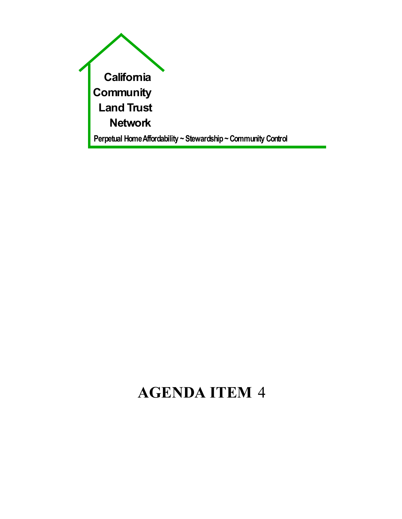

# **AGENDA ITEM** 4